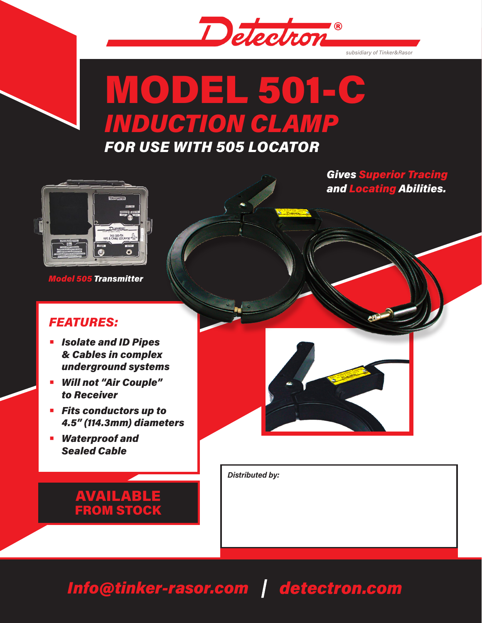

*subsidiary of Tinker&Rasor*

# MODEL 501-C *INDUCTION CLAMP*

*FOR USE WITH 505 LOCATOR*

*Gives Superior Tracing and Locating Abilities.*



*Model 505 Transmitter*

## *FEATURES:*

- **•** *Isolate and ID Pipes & Cables in complex underground systems*
- **•** *Will not "Air Couple" to Receiver*
- **•** *Fits conductors up to 4.5" (114.3mm) diameters*
- **•** *Waterproof and Sealed Cable*



*Distributed by:*

# AVAILABLE FROM STOCK

# *Info@tinker-rasor.com detectron.com*